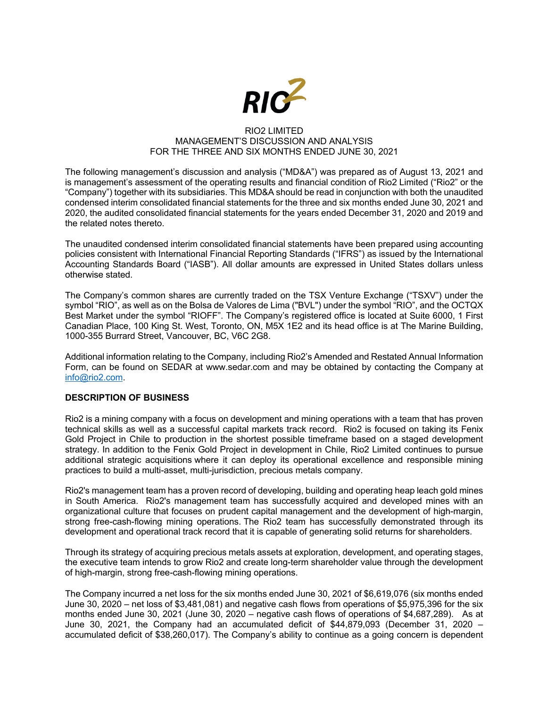

## RIO2 LIMITED MANAGEMENT'S DISCUSSION AND ANALYSIS FOR THE THREE AND SIX MONTHS ENDED JUNE 30, 2021

The following management's discussion and analysis ("MD&A") was prepared as of August 13, 2021 and is management's assessment of the operating results and financial condition of Rio2 Limited ("Rio2" or the "Company") together with its subsidiaries. This MD&A should be read in conjunction with both the unaudited condensed interim consolidated financial statements for the three and six months ended June 30, 2021 and 2020, the audited consolidated financial statements for the years ended December 31, 2020 and 2019 and the related notes thereto.

The unaudited condensed interim consolidated financial statements have been prepared using accounting policies consistent with International Financial Reporting Standards ("IFRS") as issued by the International Accounting Standards Board ("IASB"). All dollar amounts are expressed in United States dollars unless otherwise stated.

The Company's common shares are currently traded on the TSX Venture Exchange ("TSXV") under the symbol "RIO", as well as on the Bolsa de Valores de Lima ("BVL") under the symbol "RIO", and the OCTQX Best Market under the symbol "RIOFF". The Company's registered office is located at Suite 6000, 1 First Canadian Place, 100 King St. West, Toronto, ON, M5X 1E2 and its head office is at The Marine Building, 1000-355 Burrard Street, Vancouver, BC, V6C 2G8.

Additional information relating to the Company, including Rio2's Amended and Restated Annual Information Form, can be found on SEDAR at www.sedar.com and may be obtained by contacting the Company at info@rio2.com.

# **DESCRIPTION OF BUSINESS**

Rio2 is a mining company with a focus on development and mining operations with a team that has proven technical skills as well as a successful capital markets track record. Rio2 is focused on taking its Fenix Gold Project in Chile to production in the shortest possible timeframe based on a staged development strategy. In addition to the Fenix Gold Project in development in Chile, Rio2 Limited continues to pursue additional strategic acquisitions where it can deploy its operational excellence and responsible mining practices to build a multi-asset, multi-jurisdiction, precious metals company.

Rio2's management team has a proven record of developing, building and operating heap leach gold mines in South America. Rio2's management team has successfully acquired and developed mines with an organizational culture that focuses on prudent capital management and the development of high-margin, strong free-cash-flowing mining operations. The Rio2 team has successfully demonstrated through its development and operational track record that it is capable of generating solid returns for shareholders.

Through its strategy of acquiring precious metals assets at exploration, development, and operating stages, the executive team intends to grow Rio2 and create long-term shareholder value through the development of high-margin, strong free-cash-flowing mining operations.

The Company incurred a net loss for the six months ended June 30, 2021 of \$6,619,076 (six months ended June 30, 2020 – net loss of \$3,481,081) and negative cash flows from operations of \$5,975,396 for the six months ended June 30, 2021 (June 30, 2020 – negative cash flows of operations of \$4,687,289). As at June 30, 2021, the Company had an accumulated deficit of \$44,879,093 (December 31, 2020 – accumulated deficit of \$38,260,017). The Company's ability to continue as a going concern is dependent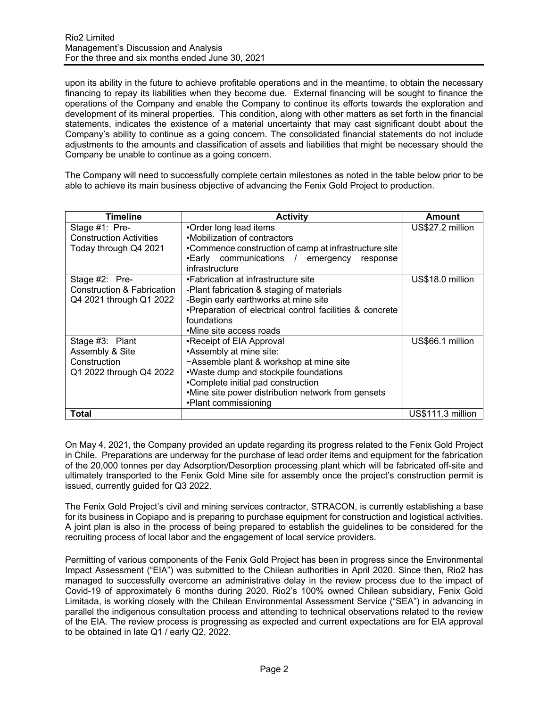upon its ability in the future to achieve profitable operations and in the meantime, to obtain the necessary financing to repay its liabilities when they become due. External financing will be sought to finance the operations of the Company and enable the Company to continue its efforts towards the exploration and development of its mineral properties. This condition, along with other matters as set forth in the financial statements, indicates the existence of a material uncertainty that may cast significant doubt about the Company's ability to continue as a going concern. The consolidated financial statements do not include adjustments to the amounts and classification of assets and liabilities that might be necessary should the Company be unable to continue as a going concern.

The Company will need to successfully complete certain milestones as noted in the table below prior to be able to achieve its main business objective of advancing the Fenix Gold Project to production.

| <b>Timeline</b>                | <b>Activity</b>                                          | Amount            |
|--------------------------------|----------------------------------------------------------|-------------------|
| Stage #1: Pre-                 | •Order long lead items                                   | US\$27.2 million  |
| <b>Construction Activities</b> | •Mobilization of contractors                             |                   |
| Today through Q4 2021          | •Commence construction of camp at infrastructure site    |                   |
|                                | •Early communications / emergency<br>response            |                   |
|                                | infrastructure                                           |                   |
| Stage #2: Pre-                 | •Fabrication at infrastructure site                      | US\$18.0 million  |
| Construction & Fabrication     | -Plant fabrication & staging of materials                |                   |
| Q4 2021 through Q1 2022        | -Begin early earthworks at mine site                     |                   |
|                                | •Preparation of electrical control facilities & concrete |                   |
|                                | foundations                                              |                   |
|                                | •Mine site access roads                                  |                   |
| Stage #3: Plant                | •Receipt of EIA Approval                                 | US\$66.1 million  |
| Assembly & Site                | •Assembly at mine site:                                  |                   |
| Construction                   | -Assemble plant & workshop at mine site                  |                   |
| Q1 2022 through Q4 2022        | .Waste dump and stockpile foundations                    |                   |
|                                | •Complete initial pad construction                       |                   |
|                                | •Mine site power distribution network from gensets       |                   |
|                                | •Plant commissioning                                     |                   |
| Total                          |                                                          | US\$111.3 million |

On May 4, 2021, the Company provided an update regarding its progress related to the Fenix Gold Project in Chile. Preparations are underway for the purchase of lead order items and equipment for the fabrication of the 20,000 tonnes per day Adsorption/Desorption processing plant which will be fabricated off-site and ultimately transported to the Fenix Gold Mine site for assembly once the project's construction permit is issued, currently guided for Q3 2022.

The Fenix Gold Project's civil and mining services contractor, STRACON, is currently establishing a base for its business in Copiapo and is preparing to purchase equipment for construction and logistical activities. A joint plan is also in the process of being prepared to establish the guidelines to be considered for the recruiting process of local labor and the engagement of local service providers.

Permitting of various components of the Fenix Gold Project has been in progress since the Environmental Impact Assessment ("EIA") was submitted to the Chilean authorities in April 2020. Since then, Rio2 has managed to successfully overcome an administrative delay in the review process due to the impact of Covid-19 of approximately 6 months during 2020. Rio2's 100% owned Chilean subsidiary, Fenix Gold Limitada, is working closely with the Chilean Environmental Assessment Service ("SEA") in advancing in parallel the indigenous consultation process and attending to technical observations related to the review of the EIA. The review process is progressing as expected and current expectations are for EIA approval to be obtained in late Q1 / early Q2, 2022.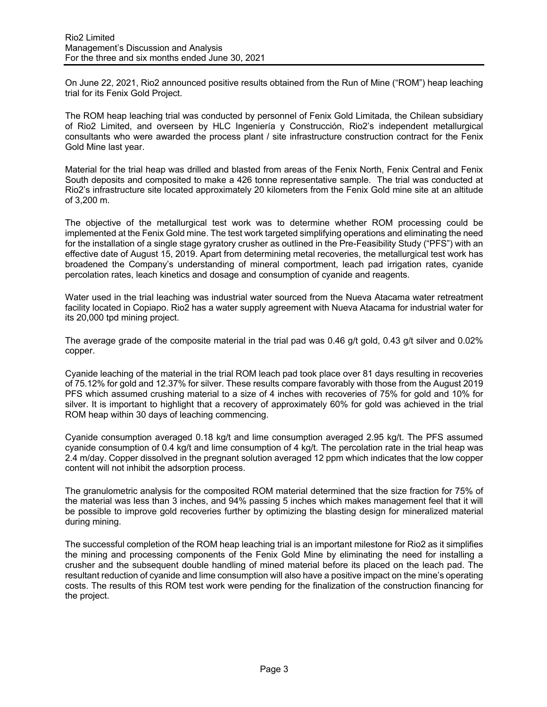On June 22, 2021, Rio2 announced positive results obtained from the Run of Mine ("ROM") heap leaching trial for its Fenix Gold Project.

The ROM heap leaching trial was conducted by personnel of Fenix Gold Limitada, the Chilean subsidiary of Rio2 Limited, and overseen by HLC Ingeniería y Construcción, Rio2's independent metallurgical consultants who were awarded the process plant / site infrastructure construction contract for the Fenix Gold Mine last year.

Material for the trial heap was drilled and blasted from areas of the Fenix North, Fenix Central and Fenix South deposits and composited to make a 426 tonne representative sample. The trial was conducted at Rio2's infrastructure site located approximately 20 kilometers from the Fenix Gold mine site at an altitude of 3,200 m.

The objective of the metallurgical test work was to determine whether ROM processing could be implemented at the Fenix Gold mine. The test work targeted simplifying operations and eliminating the need for the installation of a single stage gyratory crusher as outlined in the Pre-Feasibility Study ("PFS") with an effective date of August 15, 2019. Apart from determining metal recoveries, the metallurgical test work has broadened the Company's understanding of mineral comportment, leach pad irrigation rates, cyanide percolation rates, leach kinetics and dosage and consumption of cyanide and reagents.

Water used in the trial leaching was industrial water sourced from the Nueva Atacama water retreatment facility located in Copiapo. Rio2 has a water supply agreement with Nueva Atacama for industrial water for its 20,000 tpd mining project.

The average grade of the composite material in the trial pad was 0.46 g/t gold, 0.43 g/t silver and 0.02% copper.

Cyanide leaching of the material in the trial ROM leach pad took place over 81 days resulting in recoveries of 75.12% for gold and 12.37% for silver. These results compare favorably with those from the August 2019 PFS which assumed crushing material to a size of 4 inches with recoveries of 75% for gold and 10% for silver. It is important to highlight that a recovery of approximately 60% for gold was achieved in the trial ROM heap within 30 days of leaching commencing.

Cyanide consumption averaged 0.18 kg/t and lime consumption averaged 2.95 kg/t. The PFS assumed cyanide consumption of 0.4 kg/t and lime consumption of 4 kg/t. The percolation rate in the trial heap was 2.4 m/day. Copper dissolved in the pregnant solution averaged 12 ppm which indicates that the low copper content will not inhibit the adsorption process.

The granulometric analysis for the composited ROM material determined that the size fraction for 75% of the material was less than 3 inches, and 94% passing 5 inches which makes management feel that it will be possible to improve gold recoveries further by optimizing the blasting design for mineralized material during mining.

The successful completion of the ROM heap leaching trial is an important milestone for Rio2 as it simplifies the mining and processing components of the Fenix Gold Mine by eliminating the need for installing a crusher and the subsequent double handling of mined material before its placed on the leach pad. The resultant reduction of cyanide and lime consumption will also have a positive impact on the mine's operating costs. The results of this ROM test work were pending for the finalization of the construction financing for the project.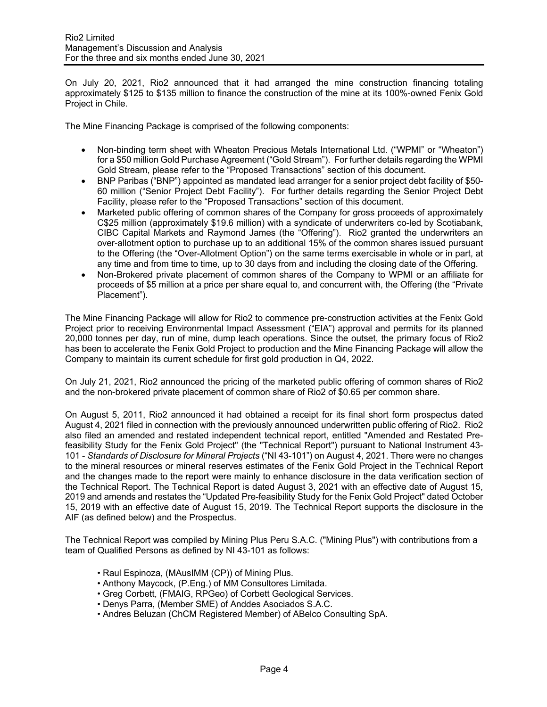On July 20, 2021, Rio2 announced that it had arranged the mine construction financing totaling approximately \$125 to \$135 million to finance the construction of the mine at its 100%-owned Fenix Gold Project in Chile.

The Mine Financing Package is comprised of the following components:

- Non-binding term sheet with Wheaton Precious Metals International Ltd. ("WPMI" or "Wheaton") for a \$50 million Gold Purchase Agreement ("Gold Stream"). For further details regarding the WPMI Gold Stream, please refer to the "Proposed Transactions" section of this document.
- BNP Paribas ("BNP") appointed as mandated lead arranger for a senior project debt facility of \$50- 60 million ("Senior Project Debt Facility"). For further details regarding the Senior Project Debt Facility, please refer to the "Proposed Transactions" section of this document.
- Marketed public offering of common shares of the Company for gross proceeds of approximately C\$25 million (approximately \$19.6 million) with a syndicate of underwriters co-led by Scotiabank, CIBC Capital Markets and Raymond James (the "Offering"). Rio2 granted the underwriters an over-allotment option to purchase up to an additional 15% of the common shares issued pursuant to the Offering (the "Over-Allotment Option") on the same terms exercisable in whole or in part, at any time and from time to time, up to 30 days from and including the closing date of the Offering.
- Non-Brokered private placement of common shares of the Company to WPMI or an affiliate for proceeds of \$5 million at a price per share equal to, and concurrent with, the Offering (the "Private Placement").

The Mine Financing Package will allow for Rio2 to commence pre-construction activities at the Fenix Gold Project prior to receiving Environmental Impact Assessment ("EIA") approval and permits for its planned 20,000 tonnes per day, run of mine, dump leach operations. Since the outset, the primary focus of Rio2 has been to accelerate the Fenix Gold Project to production and the Mine Financing Package will allow the Company to maintain its current schedule for first gold production in Q4, 2022.

On July 21, 2021, Rio2 announced the pricing of the marketed public offering of common shares of Rio2 and the non-brokered private placement of common share of Rio2 of \$0.65 per common share.

On August 5, 2011, Rio2 announced it had obtained a receipt for its final short form prospectus dated August 4, 2021 filed in connection with the previously announced underwritten public offering of Rio2. Rio2 also filed an amended and restated independent technical report, entitled "Amended and Restated Prefeasibility Study for the Fenix Gold Project" (the "Technical Report") pursuant to National Instrument 43- 101 - *Standards of Disclosure for Mineral Projects* ("NI 43-101") on August 4, 2021. There were no changes to the mineral resources or mineral reserves estimates of the Fenix Gold Project in the Technical Report and the changes made to the report were mainly to enhance disclosure in the data verification section of the Technical Report. The Technical Report is dated August 3, 2021 with an effective date of August 15, 2019 and amends and restates the "Updated Pre-feasibility Study for the Fenix Gold Project" dated October 15, 2019 with an effective date of August 15, 2019. The Technical Report supports the disclosure in the AIF (as defined below) and the Prospectus.

The Technical Report was compiled by Mining Plus Peru S.A.C. ("Mining Plus") with contributions from a team of Qualified Persons as defined by NI 43-101 as follows:

- Raul Espinoza, (MAusIMM (CP)) of Mining Plus.
- Anthony Maycock, (P.Eng.) of MM Consultores Limitada.
- Greg Corbett, (FMAIG, RPGeo) of Corbett Geological Services.
- Denys Parra, (Member SME) of Anddes Asociados S.A.C.
- Andres Beluzan (ChCM Registered Member) of ABelco Consulting SpA.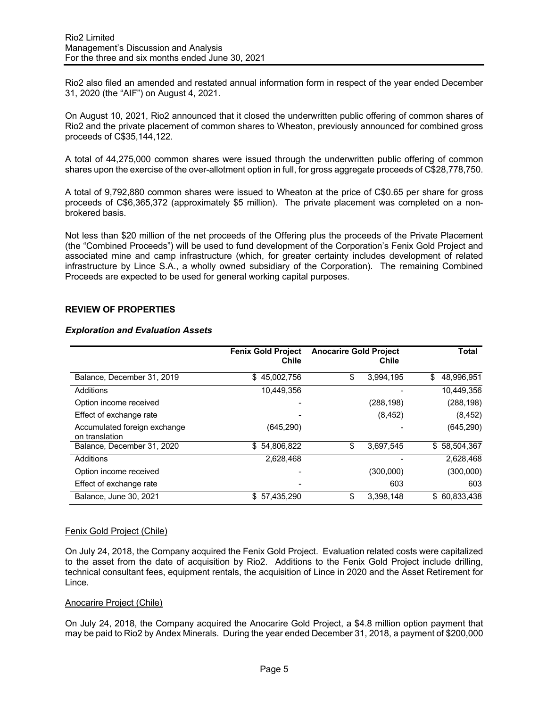Rio2 also filed an amended and restated annual information form in respect of the year ended December 31, 2020 (the "AIF") on August 4, 2021.

On August 10, 2021, Rio2 announced that it closed the underwritten public offering of common shares of Rio2 and the private placement of common shares to Wheaton, previously announced for combined gross proceeds of C\$35,144,122.

A total of 44,275,000 common shares were issued through the underwritten public offering of common shares upon the exercise of the over-allotment option in full, for gross aggregate proceeds of C\$28,778,750.

A total of 9,792,880 common shares were issued to Wheaton at the price of C\$0.65 per share for gross proceeds of C\$6,365,372 (approximately \$5 million). The private placement was completed on a nonbrokered basis.

Not less than \$20 million of the net proceeds of the Offering plus the proceeds of the Private Placement (the "Combined Proceeds") will be used to fund development of the Corporation's Fenix Gold Project and associated mine and camp infrastructure (which, for greater certainty includes development of related infrastructure by Lince S.A., a wholly owned subsidiary of the Corporation). The remaining Combined Proceeds are expected to be used for general working capital purposes.

# **REVIEW OF PROPERTIES**

## *Exploration and Evaluation Assets*

|                                                | <b>Fenix Gold Project</b><br>Chile | <b>Anocarire Gold Project</b> | Chile      | Total            |
|------------------------------------------------|------------------------------------|-------------------------------|------------|------------------|
| Balance, December 31, 2019                     | \$45,002,756                       | \$                            | 3,994,195  | \$<br>48,996,951 |
| Additions                                      | 10,449,356                         |                               |            | 10,449,356       |
| Option income received                         |                                    |                               | (288, 198) | (288, 198)       |
| Effect of exchange rate                        |                                    |                               | (8, 452)   | (8, 452)         |
| Accumulated foreign exchange<br>on translation | (645, 290)                         |                               |            | (645, 290)       |
| Balance, December 31, 2020                     | \$54,806,822                       | \$                            | 3,697,545  | \$58,504,367     |
| Additions                                      | 2,628,468                          |                               |            | 2,628,468        |
| Option income received                         |                                    |                               | (300,000)  | (300,000)        |
| Effect of exchange rate                        |                                    |                               | 603        | 603              |
| Balance, June 30, 2021                         | \$57,435,290                       | \$                            | 3,398,148  | \$ 60,833,438    |

## Fenix Gold Project (Chile)

On July 24, 2018, the Company acquired the Fenix Gold Project. Evaluation related costs were capitalized to the asset from the date of acquisition by Rio2. Additions to the Fenix Gold Project include drilling, technical consultant fees, equipment rentals, the acquisition of Lince in 2020 and the Asset Retirement for Lince.

#### Anocarire Project (Chile)

On July 24, 2018, the Company acquired the Anocarire Gold Project, a \$4.8 million option payment that may be paid to Rio2 by Andex Minerals. During the year ended December 31, 2018, a payment of \$200,000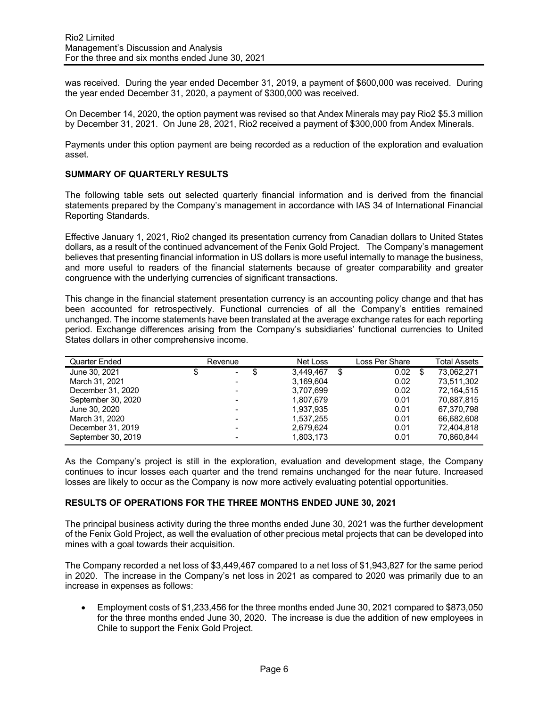was received. During the year ended December 31, 2019, a payment of \$600,000 was received. During the year ended December 31, 2020, a payment of \$300,000 was received.

On December 14, 2020, the option payment was revised so that Andex Minerals may pay Rio2 \$5.3 million by December 31, 2021. On June 28, 2021, Rio2 received a payment of \$300,000 from Andex Minerals.

Payments under this option payment are being recorded as a reduction of the exploration and evaluation asset.

# **SUMMARY OF QUARTERLY RESULTS**

The following table sets out selected quarterly financial information and is derived from the financial statements prepared by the Company's management in accordance with IAS 34 of International Financial Reporting Standards.

Effective January 1, 2021, Rio2 changed its presentation currency from Canadian dollars to United States dollars, as a result of the continued advancement of the Fenix Gold Project. The Company's management believes that presenting financial information in US dollars is more useful internally to manage the business, and more useful to readers of the financial statements because of greater comparability and greater congruence with the underlying currencies of significant transactions.

This change in the financial statement presentation currency is an accounting policy change and that has been accounted for retrospectively. Functional currencies of all the Company's entities remained unchanged. The income statements have been translated at the average exchange rates for each reporting period. Exchange differences arising from the Company's subsidiaries' functional currencies to United States dollars in other comprehensive income.

| Quarter Ended      | Revenue |                 | Loss Per Share |    |            |
|--------------------|---------|-----------------|----------------|----|------------|
| June 30, 2021      | S<br>۰. | 3.449.467<br>\$ | 0.02           | \$ | 73.062.271 |
| March 31, 2021     |         | 3,169,604       | 0.02           |    | 73.511.302 |
| December 31, 2020  |         | 3.707.699       | 0.02           |    | 72,164,515 |
| September 30, 2020 |         | 1,807,679       | 0.01           |    | 70,887,815 |
| June 30, 2020      |         | 1,937,935       | 0.01           |    | 67.370.798 |
| March 31, 2020     |         | 1,537,255       | 0.01           |    | 66.682.608 |
| December 31, 2019  |         | 2,679,624       | 0.01           |    | 72,404,818 |
| September 30, 2019 |         | 1,803,173       | 0.01           |    | 70,860,844 |

As the Company's project is still in the exploration, evaluation and development stage, the Company continues to incur losses each quarter and the trend remains unchanged for the near future. Increased losses are likely to occur as the Company is now more actively evaluating potential opportunities.

## **RESULTS OF OPERATIONS FOR THE THREE MONTHS ENDED JUNE 30, 2021**

The principal business activity during the three months ended June 30, 2021 was the further development of the Fenix Gold Project, as well the evaluation of other precious metal projects that can be developed into mines with a goal towards their acquisition.

The Company recorded a net loss of \$3,449,467 compared to a net loss of \$1,943,827 for the same period in 2020. The increase in the Company's net loss in 2021 as compared to 2020 was primarily due to an increase in expenses as follows:

• Employment costs of \$1,233,456 for the three months ended June 30, 2021 compared to \$873,050 for the three months ended June 30, 2020. The increase is due the addition of new employees in Chile to support the Fenix Gold Project.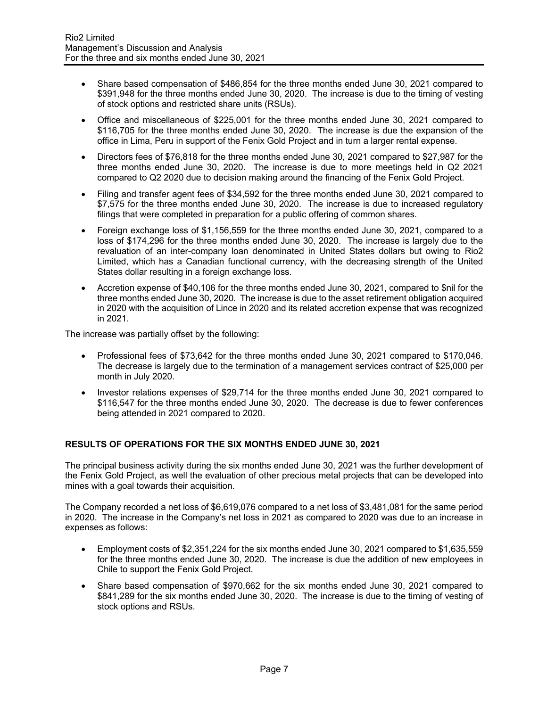- Share based compensation of \$486,854 for the three months ended June 30, 2021 compared to \$391,948 for the three months ended June 30, 2020. The increase is due to the timing of vesting of stock options and restricted share units (RSUs).
- Office and miscellaneous of \$225,001 for the three months ended June 30, 2021 compared to \$116,705 for the three months ended June 30, 2020. The increase is due the expansion of the office in Lima, Peru in support of the Fenix Gold Project and in turn a larger rental expense.
- Directors fees of \$76,818 for the three months ended June 30, 2021 compared to \$27,987 for the three months ended June 30, 2020. The increase is due to more meetings held in Q2 2021 compared to Q2 2020 due to decision making around the financing of the Fenix Gold Project.
- Filing and transfer agent fees of \$34,592 for the three months ended June 30, 2021 compared to \$7,575 for the three months ended June 30, 2020. The increase is due to increased regulatory filings that were completed in preparation for a public offering of common shares.
- Foreign exchange loss of \$1,156,559 for the three months ended June 30, 2021, compared to a loss of \$174,296 for the three months ended June 30, 2020. The increase is largely due to the revaluation of an inter-company loan denominated in United States dollars but owing to Rio2 Limited, which has a Canadian functional currency, with the decreasing strength of the United States dollar resulting in a foreign exchange loss.
- Accretion expense of \$40,106 for the three months ended June 30, 2021, compared to \$nil for the three months ended June 30, 2020. The increase is due to the asset retirement obligation acquired in 2020 with the acquisition of Lince in 2020 and its related accretion expense that was recognized in 2021.

The increase was partially offset by the following:

- Professional fees of \$73,642 for the three months ended June 30, 2021 compared to \$170,046. The decrease is largely due to the termination of a management services contract of \$25,000 per month in July 2020.
- Investor relations expenses of \$29,714 for the three months ended June 30, 2021 compared to \$116,547 for the three months ended June 30, 2020. The decrease is due to fewer conferences being attended in 2021 compared to 2020.

# **RESULTS OF OPERATIONS FOR THE SIX MONTHS ENDED JUNE 30, 2021**

The principal business activity during the six months ended June 30, 2021 was the further development of the Fenix Gold Project, as well the evaluation of other precious metal projects that can be developed into mines with a goal towards their acquisition.

The Company recorded a net loss of \$6,619,076 compared to a net loss of \$3,481,081 for the same period in 2020. The increase in the Company's net loss in 2021 as compared to 2020 was due to an increase in expenses as follows:

- Employment costs of \$2,351,224 for the six months ended June 30, 2021 compared to \$1,635,559 for the three months ended June 30, 2020. The increase is due the addition of new employees in Chile to support the Fenix Gold Project.
- Share based compensation of \$970,662 for the six months ended June 30, 2021 compared to \$841,289 for the six months ended June 30, 2020. The increase is due to the timing of vesting of stock options and RSUs.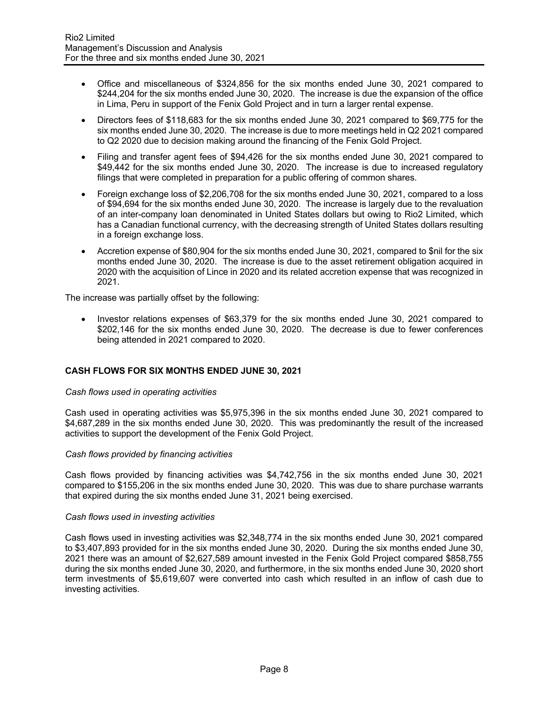- Office and miscellaneous of \$324,856 for the six months ended June 30, 2021 compared to \$244,204 for the six months ended June 30, 2020. The increase is due the expansion of the office in Lima, Peru in support of the Fenix Gold Project and in turn a larger rental expense.
- Directors fees of \$118,683 for the six months ended June 30, 2021 compared to \$69,775 for the six months ended June 30, 2020. The increase is due to more meetings held in Q2 2021 compared to Q2 2020 due to decision making around the financing of the Fenix Gold Project.
- Filing and transfer agent fees of \$94,426 for the six months ended June 30, 2021 compared to \$49,442 for the six months ended June 30, 2020. The increase is due to increased regulatory filings that were completed in preparation for a public offering of common shares.
- Foreign exchange loss of \$2,206,708 for the six months ended June 30, 2021, compared to a loss of \$94,694 for the six months ended June 30, 2020. The increase is largely due to the revaluation of an inter-company loan denominated in United States dollars but owing to Rio2 Limited, which has a Canadian functional currency, with the decreasing strength of United States dollars resulting in a foreign exchange loss.
- Accretion expense of \$80,904 for the six months ended June 30, 2021, compared to \$nil for the six months ended June 30, 2020. The increase is due to the asset retirement obligation acquired in 2020 with the acquisition of Lince in 2020 and its related accretion expense that was recognized in 2021.

The increase was partially offset by the following:

• Investor relations expenses of \$63,379 for the six months ended June 30, 2021 compared to \$202,146 for the six months ended June 30, 2020. The decrease is due to fewer conferences being attended in 2021 compared to 2020.

# **CASH FLOWS FOR SIX MONTHS ENDED JUNE 30, 2021**

## *Cash flows used in operating activities*

Cash used in operating activities was \$5,975,396 in the six months ended June 30, 2021 compared to \$4,687,289 in the six months ended June 30, 2020. This was predominantly the result of the increased activities to support the development of the Fenix Gold Project.

## *Cash flows provided by financing activities*

Cash flows provided by financing activities was \$4,742,756 in the six months ended June 30, 2021 compared to \$155,206 in the six months ended June 30, 2020. This was due to share purchase warrants that expired during the six months ended June 31, 2021 being exercised.

## *Cash flows used in investing activities*

Cash flows used in investing activities was \$2,348,774 in the six months ended June 30, 2021 compared to \$3,407,893 provided for in the six months ended June 30, 2020. During the six months ended June 30, 2021 there was an amount of \$2,627,589 amount invested in the Fenix Gold Project compared \$858,755 during the six months ended June 30, 2020, and furthermore, in the six months ended June 30, 2020 short term investments of \$5,619,607 were converted into cash which resulted in an inflow of cash due to investing activities.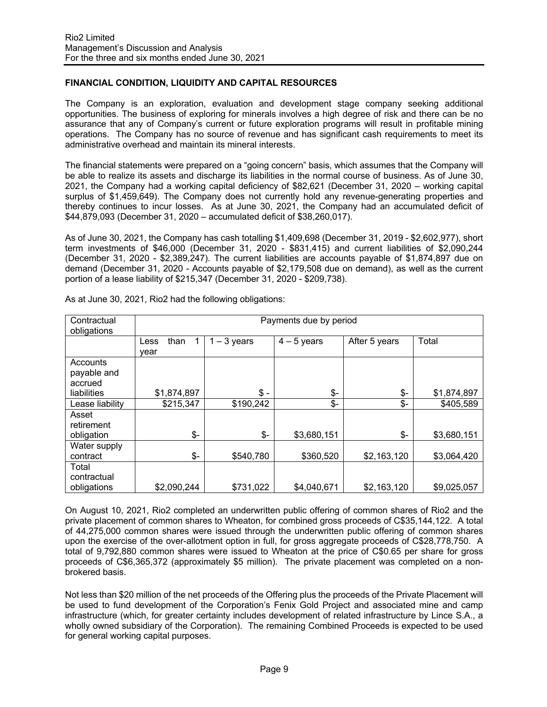# **FINANCIAL CONDITION, LIQUIDITY AND CAPITAL RESOURCES**

The Company is an exploration, evaluation and development stage company seeking additional opportunities. The business of exploring for minerals involves a high degree of risk and there can be no assurance that any of Company's current or future exploration programs will result in profitable mining operations. The Company has no source of revenue and has significant cash requirements to meet its administrative overhead and maintain its mineral interests.

The financial statements were prepared on a "going concern" basis, which assumes that the Company will be able to realize its assets and discharge its liabilities in the normal course of business. As of June 30, 2021, the Company had a working capital deficiency of \$82,621 (December 31, 2020 – working capital surplus of \$1,459,649). The Company does not currently hold any revenue-generating properties and thereby continues to incur losses. As at June 30, 2021, the Company had an accumulated deficit of \$44,879,093 (December 31, 2020 – accumulated deficit of \$38,260,017).

As of June 30, 2021, the Company has cash totalling \$1,409,698 (December 31, 2019 - \$2,602,977), short term investments of \$46,000 (December 31, 2020 - \$831,415) and current liabilities of \$2,090,244 (December 31, 2020 - \$2,389,247). The current liabilities are accounts payable of \$1,874,897 due on demand (December 31, 2020 - Accounts payable of \$2,179,508 due on demand), as well as the current portion of a lease liability of \$215,347 (December 31, 2020 - \$209,738).

| Contractual<br>obligations          | Payments due by period |               |                 |               |             |  |  |
|-------------------------------------|------------------------|---------------|-----------------|---------------|-------------|--|--|
|                                     | than<br>Less<br>year   | $1 - 3$ years | $4 - 5$ years   | After 5 years | Total       |  |  |
| Accounts<br>payable and<br>accrued  |                        |               |                 |               |             |  |  |
| liabilities                         | \$1,874,897            | \$ -          | \$-             | $$-$          | \$1,874,897 |  |  |
| Lease liability                     | \$215,347              | \$190,242     | $\mathcal{S}$ - | $\frac{2}{2}$ | \$405,589   |  |  |
| Asset<br>retirement<br>obligation   | \$-                    | \$-           | \$3,680,151     | $\frac{2}{2}$ | \$3,680,151 |  |  |
| Water supply                        |                        |               |                 |               |             |  |  |
| contract                            | $$-$                   | \$540,780     | \$360,520       | \$2,163,120   | \$3,064,420 |  |  |
| Total<br>contractual<br>obligations | \$2,090,244            | \$731,022     | \$4,040,671     | \$2,163,120   | \$9,025,057 |  |  |

As at June 30, 2021, Rio2 had the following obligations:

On August 10, 2021, Rio2 completed an underwritten public offering of common shares of Rio2 and the private placement of common shares to Wheaton, for combined gross proceeds of C\$35,144,122. A total of 44,275,000 common shares were issued through the underwritten public offering of common shares upon the exercise of the over-allotment option in full, for gross aggregate proceeds of C\$28,778,750. A total of 9,792,880 common shares were issued to Wheaton at the price of C\$0.65 per share for gross proceeds of C\$6,365,372 (approximately \$5 million). The private placement was completed on a nonbrokered basis.

Not less than \$20 million of the net proceeds of the Offering plus the proceeds of the Private Placement will be used to fund development of the Corporation's Fenix Gold Project and associated mine and camp infrastructure (which, for greater certainty includes development of related infrastructure by Lince S.A., a wholly owned subsidiary of the Corporation). The remaining Combined Proceeds is expected to be used for general working capital purposes.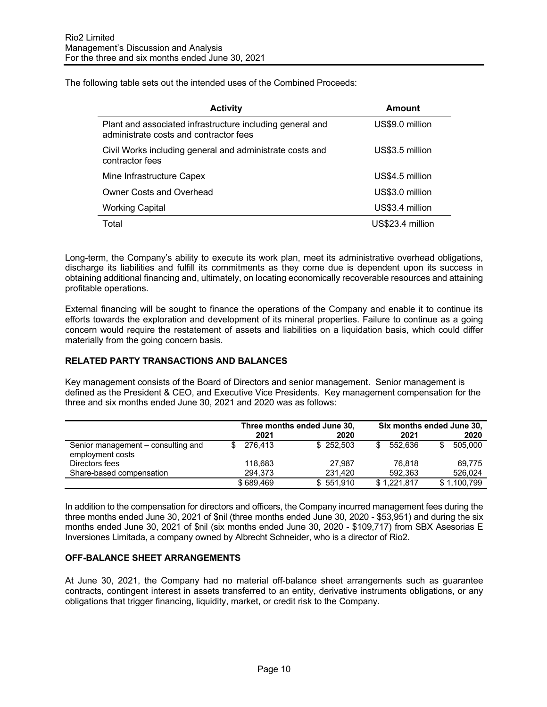The following table sets out the intended uses of the Combined Proceeds:

| <b>Activity</b>                                                                                     | Amount           |
|-----------------------------------------------------------------------------------------------------|------------------|
| Plant and associated infrastructure including general and<br>administrate costs and contractor fees | US\$9.0 million  |
| Civil Works including general and administrate costs and<br>contractor fees                         | US\$3.5 million  |
| Mine Infrastructure Capex                                                                           | US\$4.5 million  |
| <b>Owner Costs and Overhead</b>                                                                     | US\$3.0 million  |
| <b>Working Capital</b>                                                                              | US\$3.4 million  |
| Total                                                                                               | US\$23.4 million |

Long-term, the Company's ability to execute its work plan, meet its administrative overhead obligations, discharge its liabilities and fulfill its commitments as they come due is dependent upon its success in obtaining additional financing and, ultimately, on locating economically recoverable resources and attaining profitable operations.

External financing will be sought to finance the operations of the Company and enable it to continue its efforts towards the exploration and development of its mineral properties. Failure to continue as a going concern would require the restatement of assets and liabilities on a liquidation basis, which could differ materially from the going concern basis.

# **RELATED PARTY TRANSACTIONS AND BALANCES**

Key management consists of the Board of Directors and senior management. Senior management is defined as the President & CEO, and Executive Vice Presidents. Key management compensation for the three and six months ended June 30, 2021 and 2020 was as follows:

|                                                        | Three months ended June 30, |           | Six months ended June 30, |               |  |
|--------------------------------------------------------|-----------------------------|-----------|---------------------------|---------------|--|
|                                                        | 2021                        | 2020      | 2021                      | 2020          |  |
| Senior management – consulting and<br>employment costs | 276.413                     | \$252.503 | 552.636                   | 505.000<br>\$ |  |
| Directors fees                                         | 118.683                     | 27.987    | 76.818                    | 69.775        |  |
| Share-based compensation                               | 294.373                     | 231.420   | 592.363                   | 526,024       |  |
|                                                        | \$689.469                   | \$551.910 | \$1,221,817               | \$1,100,799   |  |

In addition to the compensation for directors and officers, the Company incurred management fees during the three months ended June 30, 2021 of \$nil (three months ended June 30, 2020 - \$53,951) and during the six months ended June 30, 2021 of \$nil (six months ended June 30, 2020 - \$109,717) from SBX Asesorias E Inversiones Limitada, a company owned by Albrecht Schneider, who is a director of Rio2.

# **OFF-BALANCE SHEET ARRANGEMENTS**

At June 30, 2021, the Company had no material off-balance sheet arrangements such as guarantee contracts, contingent interest in assets transferred to an entity, derivative instruments obligations, or any obligations that trigger financing, liquidity, market, or credit risk to the Company.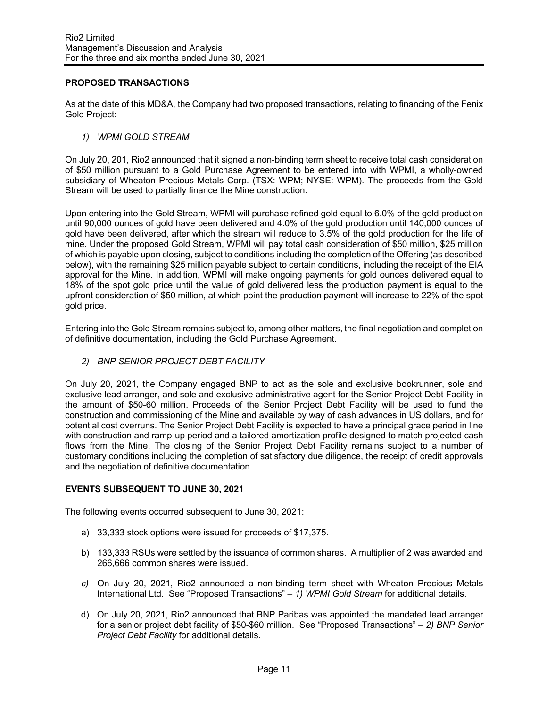# **PROPOSED TRANSACTIONS**

As at the date of this MD&A, the Company had two proposed transactions, relating to financing of the Fenix Gold Project:

*1) WPMI GOLD STREAM* 

On July 20, 201, Rio2 announced that it signed a non-binding term sheet to receive total cash consideration of \$50 million pursuant to a Gold Purchase Agreement to be entered into with WPMI, a wholly-owned subsidiary of Wheaton Precious Metals Corp. (TSX: WPM; NYSE: WPM). The proceeds from the Gold Stream will be used to partially finance the Mine construction.

Upon entering into the Gold Stream, WPMI will purchase refined gold equal to 6.0% of the gold production until 90,000 ounces of gold have been delivered and 4.0% of the gold production until 140,000 ounces of gold have been delivered, after which the stream will reduce to 3.5% of the gold production for the life of mine. Under the proposed Gold Stream, WPMI will pay total cash consideration of \$50 million, \$25 million of which is payable upon closing, subject to conditions including the completion of the Offering (as described below), with the remaining \$25 million payable subject to certain conditions, including the receipt of the EIA approval for the Mine. In addition, WPMI will make ongoing payments for gold ounces delivered equal to 18% of the spot gold price until the value of gold delivered less the production payment is equal to the upfront consideration of \$50 million, at which point the production payment will increase to 22% of the spot gold price.

Entering into the Gold Stream remains subject to, among other matters, the final negotiation and completion of definitive documentation, including the Gold Purchase Agreement.

*2) BNP SENIOR PROJECT DEBT FACILITY* 

On July 20, 2021, the Company engaged BNP to act as the sole and exclusive bookrunner, sole and exclusive lead arranger, and sole and exclusive administrative agent for the Senior Project Debt Facility in the amount of \$50-60 million. Proceeds of the Senior Project Debt Facility will be used to fund the construction and commissioning of the Mine and available by way of cash advances in US dollars, and for potential cost overruns. The Senior Project Debt Facility is expected to have a principal grace period in line with construction and ramp-up period and a tailored amortization profile designed to match projected cash flows from the Mine. The closing of the Senior Project Debt Facility remains subject to a number of customary conditions including the completion of satisfactory due diligence, the receipt of credit approvals and the negotiation of definitive documentation.

## **EVENTS SUBSEQUENT TO JUNE 30, 2021**

The following events occurred subsequent to June 30, 2021:

- a) 33,333 stock options were issued for proceeds of \$17,375.
- b) 133,333 RSUs were settled by the issuance of common shares. A multiplier of 2 was awarded and 266,666 common shares were issued.
- *c)* On July 20, 2021, Rio2 announced a non-binding term sheet with Wheaton Precious Metals International Ltd. See "Proposed Transactions" – *1) WPMI Gold Stream* for additional details.
- d) On July 20, 2021, Rio2 announced that BNP Paribas was appointed the mandated lead arranger for a senior project debt facility of \$50-\$60 million. See "Proposed Transactions" – *2) BNP Senior Project Debt Facility* for additional details.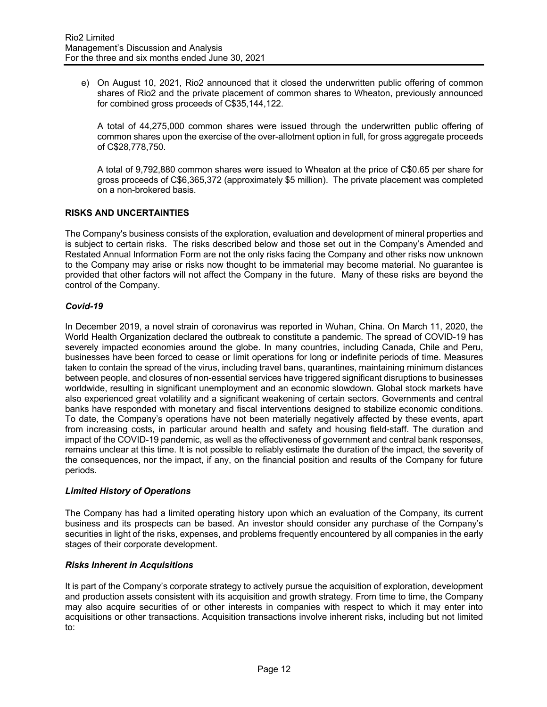e) On August 10, 2021, Rio2 announced that it closed the underwritten public offering of common shares of Rio2 and the private placement of common shares to Wheaton, previously announced for combined gross proceeds of C\$35,144,122.

A total of 44,275,000 common shares were issued through the underwritten public offering of common shares upon the exercise of the over-allotment option in full, for gross aggregate proceeds of C\$28,778,750.

A total of 9,792,880 common shares were issued to Wheaton at the price of C\$0.65 per share for gross proceeds of C\$6,365,372 (approximately \$5 million). The private placement was completed on a non-brokered basis.

# **RISKS AND UNCERTAINTIES**

The Company's business consists of the exploration, evaluation and development of mineral properties and is subject to certain risks. The risks described below and those set out in the Company's Amended and Restated Annual Information Form are not the only risks facing the Company and other risks now unknown to the Company may arise or risks now thought to be immaterial may become material. No guarantee is provided that other factors will not affect the Company in the future. Many of these risks are beyond the control of the Company.

# *Covid-19*

In December 2019, a novel strain of coronavirus was reported in Wuhan, China. On March 11, 2020, the World Health Organization declared the outbreak to constitute a pandemic. The spread of COVID-19 has severely impacted economies around the globe. In many countries, including Canada, Chile and Peru, businesses have been forced to cease or limit operations for long or indefinite periods of time. Measures taken to contain the spread of the virus, including travel bans, quarantines, maintaining minimum distances between people, and closures of non-essential services have triggered significant disruptions to businesses worldwide, resulting in significant unemployment and an economic slowdown. Global stock markets have also experienced great volatility and a significant weakening of certain sectors. Governments and central banks have responded with monetary and fiscal interventions designed to stabilize economic conditions. To date, the Company's operations have not been materially negatively affected by these events, apart from increasing costs, in particular around health and safety and housing field-staff. The duration and impact of the COVID-19 pandemic, as well as the effectiveness of government and central bank responses, remains unclear at this time. It is not possible to reliably estimate the duration of the impact, the severity of the consequences, nor the impact, if any, on the financial position and results of the Company for future periods.

# *Limited History of Operations*

The Company has had a limited operating history upon which an evaluation of the Company, its current business and its prospects can be based. An investor should consider any purchase of the Company's securities in light of the risks, expenses, and problems frequently encountered by all companies in the early stages of their corporate development.

## *Risks Inherent in Acquisitions*

It is part of the Company's corporate strategy to actively pursue the acquisition of exploration, development and production assets consistent with its acquisition and growth strategy. From time to time, the Company may also acquire securities of or other interests in companies with respect to which it may enter into acquisitions or other transactions. Acquisition transactions involve inherent risks, including but not limited to: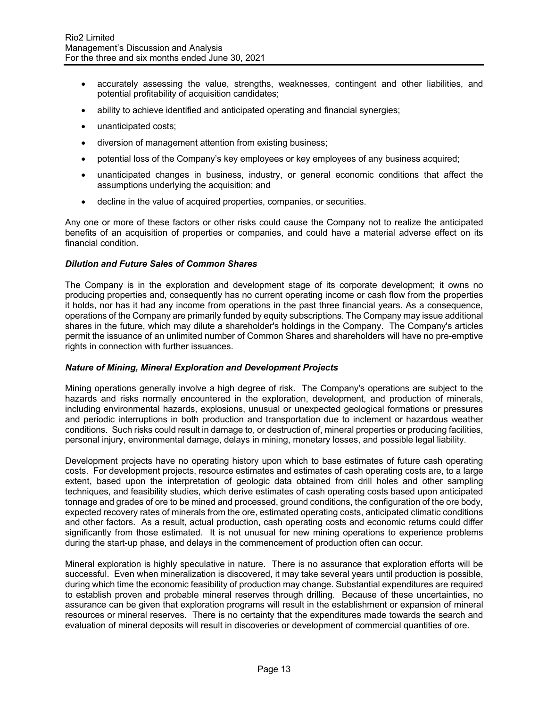- accurately assessing the value, strengths, weaknesses, contingent and other liabilities, and potential profitability of acquisition candidates;
- ability to achieve identified and anticipated operating and financial synergies;
- unanticipated costs;
- diversion of management attention from existing business;
- potential loss of the Company's key employees or key employees of any business acquired;
- unanticipated changes in business, industry, or general economic conditions that affect the assumptions underlying the acquisition; and
- decline in the value of acquired properties, companies, or securities.

Any one or more of these factors or other risks could cause the Company not to realize the anticipated benefits of an acquisition of properties or companies, and could have a material adverse effect on its financial condition.

#### *Dilution and Future Sales of Common Shares*

The Company is in the exploration and development stage of its corporate development; it owns no producing properties and, consequently has no current operating income or cash flow from the properties it holds, nor has it had any income from operations in the past three financial years. As a consequence, operations of the Company are primarily funded by equity subscriptions. The Company may issue additional shares in the future, which may dilute a shareholder's holdings in the Company. The Company's articles permit the issuance of an unlimited number of Common Shares and shareholders will have no pre-emptive rights in connection with further issuances.

## *Nature of Mining, Mineral Exploration and Development Projects*

Mining operations generally involve a high degree of risk. The Company's operations are subject to the hazards and risks normally encountered in the exploration, development, and production of minerals, including environmental hazards, explosions, unusual or unexpected geological formations or pressures and periodic interruptions in both production and transportation due to inclement or hazardous weather conditions. Such risks could result in damage to, or destruction of, mineral properties or producing facilities, personal injury, environmental damage, delays in mining, monetary losses, and possible legal liability.

Development projects have no operating history upon which to base estimates of future cash operating costs. For development projects, resource estimates and estimates of cash operating costs are, to a large extent, based upon the interpretation of geologic data obtained from drill holes and other sampling techniques, and feasibility studies, which derive estimates of cash operating costs based upon anticipated tonnage and grades of ore to be mined and processed, ground conditions, the configuration of the ore body, expected recovery rates of minerals from the ore, estimated operating costs, anticipated climatic conditions and other factors. As a result, actual production, cash operating costs and economic returns could differ significantly from those estimated. It is not unusual for new mining operations to experience problems during the start-up phase, and delays in the commencement of production often can occur.

Mineral exploration is highly speculative in nature. There is no assurance that exploration efforts will be successful. Even when mineralization is discovered, it may take several years until production is possible, during which time the economic feasibility of production may change. Substantial expenditures are required to establish proven and probable mineral reserves through drilling. Because of these uncertainties, no assurance can be given that exploration programs will result in the establishment or expansion of mineral resources or mineral reserves. There is no certainty that the expenditures made towards the search and evaluation of mineral deposits will result in discoveries or development of commercial quantities of ore.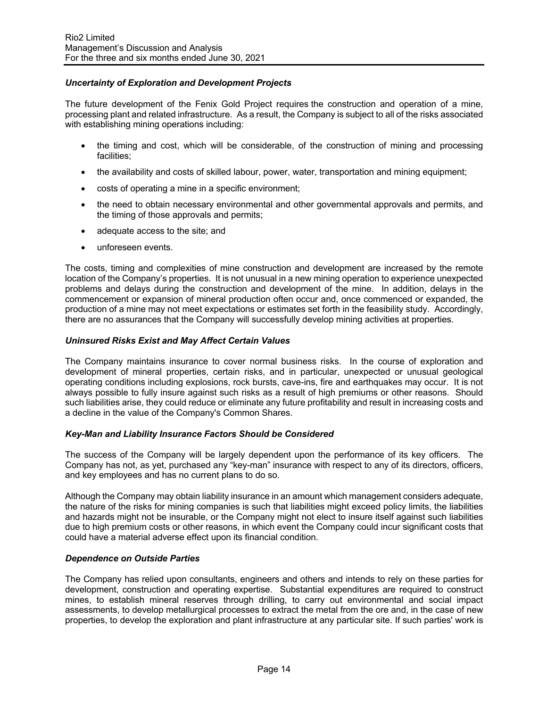# *Uncertainty of Exploration and Development Projects*

The future development of the Fenix Gold Project requires the construction and operation of a mine, processing plant and related infrastructure. As a result, the Company is subject to all of the risks associated with establishing mining operations including:

- the timing and cost, which will be considerable, of the construction of mining and processing facilities;
- the availability and costs of skilled labour, power, water, transportation and mining equipment;
- costs of operating a mine in a specific environment;
- the need to obtain necessary environmental and other governmental approvals and permits, and the timing of those approvals and permits;
- adequate access to the site; and
- unforeseen events.

The costs, timing and complexities of mine construction and development are increased by the remote location of the Company's properties. It is not unusual in a new mining operation to experience unexpected problems and delays during the construction and development of the mine. In addition, delays in the commencement or expansion of mineral production often occur and, once commenced or expanded, the production of a mine may not meet expectations or estimates set forth in the feasibility study. Accordingly, there are no assurances that the Company will successfully develop mining activities at properties.

# *Uninsured Risks Exist and May Affect Certain Values*

The Company maintains insurance to cover normal business risks. In the course of exploration and development of mineral properties, certain risks, and in particular, unexpected or unusual geological operating conditions including explosions, rock bursts, cave-ins, fire and earthquakes may occur. It is not always possible to fully insure against such risks as a result of high premiums or other reasons. Should such liabilities arise, they could reduce or eliminate any future profitability and result in increasing costs and a decline in the value of the Company's Common Shares.

## *Key-Man and Liability Insurance Factors Should be Considered*

The success of the Company will be largely dependent upon the performance of its key officers. The Company has not, as yet, purchased any "key-man" insurance with respect to any of its directors, officers, and key employees and has no current plans to do so.

Although the Company may obtain liability insurance in an amount which management considers adequate, the nature of the risks for mining companies is such that liabilities might exceed policy limits, the liabilities and hazards might not be insurable, or the Company might not elect to insure itself against such liabilities due to high premium costs or other reasons, in which event the Company could incur significant costs that could have a material adverse effect upon its financial condition.

## *Dependence on Outside Parties*

The Company has relied upon consultants, engineers and others and intends to rely on these parties for development, construction and operating expertise. Substantial expenditures are required to construct mines, to establish mineral reserves through drilling, to carry out environmental and social impact assessments, to develop metallurgical processes to extract the metal from the ore and, in the case of new properties, to develop the exploration and plant infrastructure at any particular site. If such parties' work is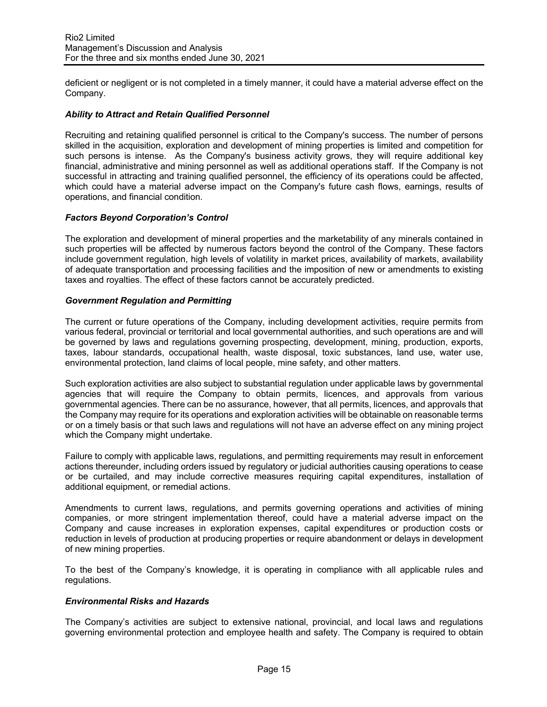deficient or negligent or is not completed in a timely manner, it could have a material adverse effect on the Company.

# *Ability to Attract and Retain Qualified Personnel*

Recruiting and retaining qualified personnel is critical to the Company's success. The number of persons skilled in the acquisition, exploration and development of mining properties is limited and competition for such persons is intense. As the Company's business activity grows, they will require additional key financial, administrative and mining personnel as well as additional operations staff. If the Company is not successful in attracting and training qualified personnel, the efficiency of its operations could be affected, which could have a material adverse impact on the Company's future cash flows, earnings, results of operations, and financial condition.

# *Factors Beyond Corporation's Control*

The exploration and development of mineral properties and the marketability of any minerals contained in such properties will be affected by numerous factors beyond the control of the Company. These factors include government regulation, high levels of volatility in market prices, availability of markets, availability of adequate transportation and processing facilities and the imposition of new or amendments to existing taxes and royalties. The effect of these factors cannot be accurately predicted.

# *Government Regulation and Permitting*

The current or future operations of the Company, including development activities, require permits from various federal, provincial or territorial and local governmental authorities, and such operations are and will be governed by laws and regulations governing prospecting, development, mining, production, exports, taxes, labour standards, occupational health, waste disposal, toxic substances, land use, water use, environmental protection, land claims of local people, mine safety, and other matters.

Such exploration activities are also subject to substantial regulation under applicable laws by governmental agencies that will require the Company to obtain permits, licences, and approvals from various governmental agencies. There can be no assurance, however, that all permits, licences, and approvals that the Company may require for its operations and exploration activities will be obtainable on reasonable terms or on a timely basis or that such laws and regulations will not have an adverse effect on any mining project which the Company might undertake.

Failure to comply with applicable laws, regulations, and permitting requirements may result in enforcement actions thereunder, including orders issued by regulatory or judicial authorities causing operations to cease or be curtailed, and may include corrective measures requiring capital expenditures, installation of additional equipment, or remedial actions.

Amendments to current laws, regulations, and permits governing operations and activities of mining companies, or more stringent implementation thereof, could have a material adverse impact on the Company and cause increases in exploration expenses, capital expenditures or production costs or reduction in levels of production at producing properties or require abandonment or delays in development of new mining properties.

To the best of the Company's knowledge, it is operating in compliance with all applicable rules and regulations.

## *Environmental Risks and Hazards*

The Company's activities are subject to extensive national, provincial, and local laws and regulations governing environmental protection and employee health and safety. The Company is required to obtain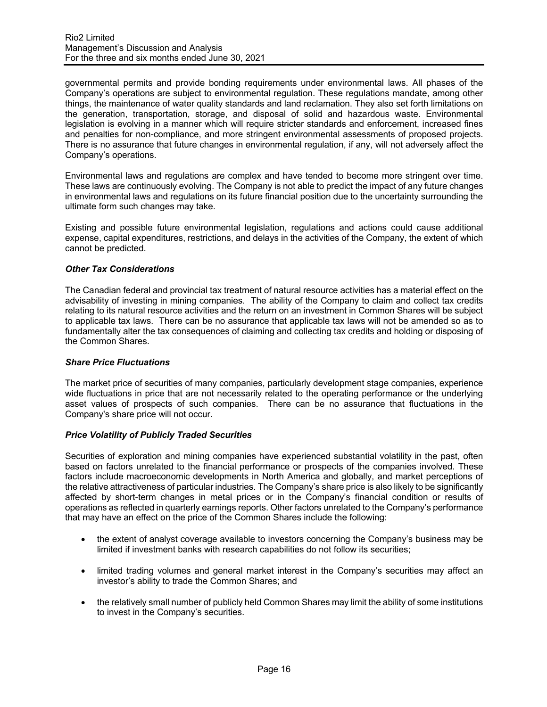governmental permits and provide bonding requirements under environmental laws. All phases of the Company's operations are subject to environmental regulation. These regulations mandate, among other things, the maintenance of water quality standards and land reclamation. They also set forth limitations on the generation, transportation, storage, and disposal of solid and hazardous waste. Environmental legislation is evolving in a manner which will require stricter standards and enforcement, increased fines and penalties for non-compliance, and more stringent environmental assessments of proposed projects. There is no assurance that future changes in environmental regulation, if any, will not adversely affect the Company's operations.

Environmental laws and regulations are complex and have tended to become more stringent over time. These laws are continuously evolving. The Company is not able to predict the impact of any future changes in environmental laws and regulations on its future financial position due to the uncertainty surrounding the ultimate form such changes may take.

Existing and possible future environmental legislation, regulations and actions could cause additional expense, capital expenditures, restrictions, and delays in the activities of the Company, the extent of which cannot be predicted.

## *Other Tax Considerations*

The Canadian federal and provincial tax treatment of natural resource activities has a material effect on the advisability of investing in mining companies. The ability of the Company to claim and collect tax credits relating to its natural resource activities and the return on an investment in Common Shares will be subject to applicable tax laws. There can be no assurance that applicable tax laws will not be amended so as to fundamentally alter the tax consequences of claiming and collecting tax credits and holding or disposing of the Common Shares.

## *Share Price Fluctuations*

The market price of securities of many companies, particularly development stage companies, experience wide fluctuations in price that are not necessarily related to the operating performance or the underlying asset values of prospects of such companies. There can be no assurance that fluctuations in the Company's share price will not occur.

# *Price Volatility of Publicly Traded Securities*

Securities of exploration and mining companies have experienced substantial volatility in the past, often based on factors unrelated to the financial performance or prospects of the companies involved. These factors include macroeconomic developments in North America and globally, and market perceptions of the relative attractiveness of particular industries. The Company's share price is also likely to be significantly affected by short-term changes in metal prices or in the Company's financial condition or results of operations as reflected in quarterly earnings reports. Other factors unrelated to the Company's performance that may have an effect on the price of the Common Shares include the following:

- the extent of analyst coverage available to investors concerning the Company's business may be limited if investment banks with research capabilities do not follow its securities;
- limited trading volumes and general market interest in the Company's securities may affect an investor's ability to trade the Common Shares; and
- the relatively small number of publicly held Common Shares may limit the ability of some institutions to invest in the Company's securities.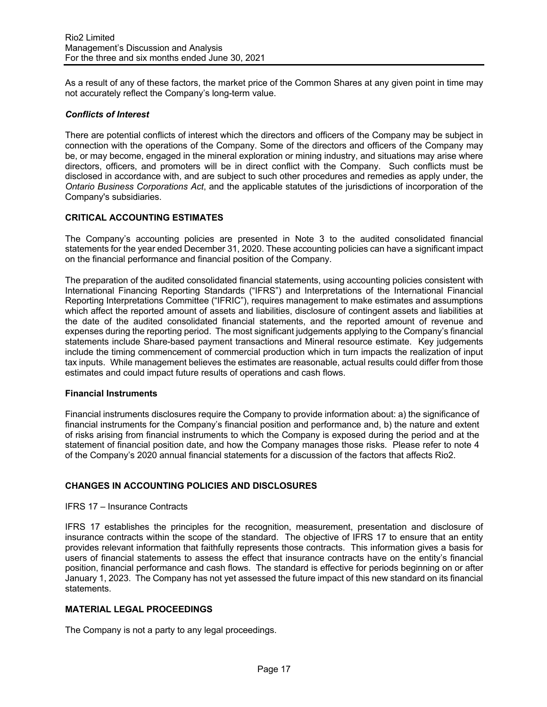As a result of any of these factors, the market price of the Common Shares at any given point in time may not accurately reflect the Company's long-term value.

# *Conflicts of Interest*

There are potential conflicts of interest which the directors and officers of the Company may be subject in connection with the operations of the Company. Some of the directors and officers of the Company may be, or may become, engaged in the mineral exploration or mining industry, and situations may arise where directors, officers, and promoters will be in direct conflict with the Company. Such conflicts must be disclosed in accordance with, and are subject to such other procedures and remedies as apply under, the *Ontario Business Corporations Act*, and the applicable statutes of the jurisdictions of incorporation of the Company's subsidiaries.

# **CRITICAL ACCOUNTING ESTIMATES**

The Company's accounting policies are presented in Note 3 to the audited consolidated financial statements for the year ended December 31, 2020. These accounting policies can have a significant impact on the financial performance and financial position of the Company.

The preparation of the audited consolidated financial statements, using accounting policies consistent with International Financing Reporting Standards ("IFRS") and Interpretations of the International Financial Reporting Interpretations Committee ("IFRIC"), requires management to make estimates and assumptions which affect the reported amount of assets and liabilities, disclosure of contingent assets and liabilities at the date of the audited consolidated financial statements, and the reported amount of revenue and expenses during the reporting period. The most significant judgements applying to the Company's financial statements include Share-based payment transactions and Mineral resource estimate. Key judgements include the timing commencement of commercial production which in turn impacts the realization of input tax inputs. While management believes the estimates are reasonable, actual results could differ from those estimates and could impact future results of operations and cash flows.

## **Financial Instruments**

Financial instruments disclosures require the Company to provide information about: a) the significance of financial instruments for the Company's financial position and performance and, b) the nature and extent of risks arising from financial instruments to which the Company is exposed during the period and at the statement of financial position date, and how the Company manages those risks. Please refer to note 4 of the Company's 2020 annual financial statements for a discussion of the factors that affects Rio2.

# **CHANGES IN ACCOUNTING POLICIES AND DISCLOSURES**

## IFRS 17 – Insurance Contracts

IFRS 17 establishes the principles for the recognition, measurement, presentation and disclosure of insurance contracts within the scope of the standard. The objective of IFRS 17 to ensure that an entity provides relevant information that faithfully represents those contracts. This information gives a basis for users of financial statements to assess the effect that insurance contracts have on the entity's financial position, financial performance and cash flows. The standard is effective for periods beginning on or after January 1, 2023. The Company has not yet assessed the future impact of this new standard on its financial statements.

# **MATERIAL LEGAL PROCEEDINGS**

The Company is not a party to any legal proceedings.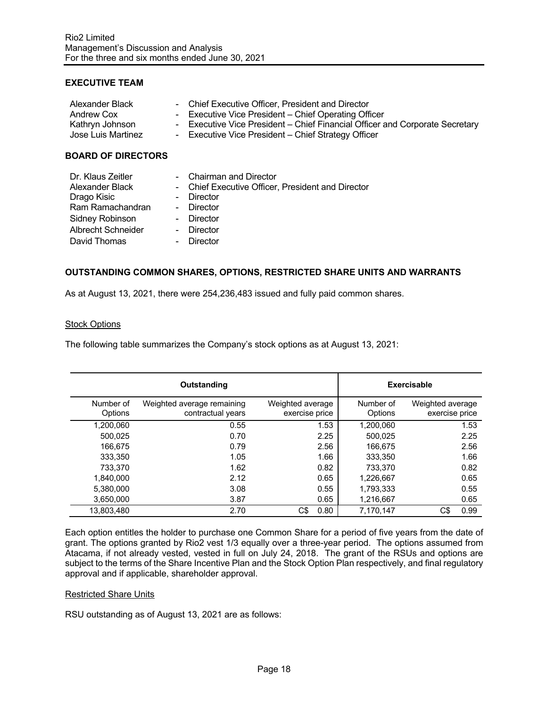# **EXECUTIVE TEAM**

| Alexander Black    | - Chief Executive Officer, President and Director                            |
|--------------------|------------------------------------------------------------------------------|
| Andrew Cox         | - Executive Vice President – Chief Operating Officer                         |
| Kathryn Johnson    | - Executive Vice President – Chief Financial Officer and Corporate Secretary |
| Jose Luis Martinez | - Executive Vice President – Chief Strategy Officer                          |
|                    |                                                                              |

## **BOARD OF DIRECTORS**

| Dr. Klaus Zeitler<br>Alexander Black | - Chairman and Director<br>- Chief Executive Officer, President and Director |
|--------------------------------------|------------------------------------------------------------------------------|
| Drago Kisic                          | Director                                                                     |
| Ram Ramachandran                     | - Director                                                                   |
| Sidney Robinson                      | - Director                                                                   |
| Albrecht Schneider                   | Director                                                                     |
| David Thomas                         | Director                                                                     |

## **OUTSTANDING COMMON SHARES, OPTIONS, RESTRICTED SHARE UNITS AND WARRANTS**

As at August 13, 2021, there were 254,236,483 issued and fully paid common shares.

#### **Stock Options**

The following table summarizes the Company's stock options as at August 13, 2021:

|                      | Outstanding                                     |                                    | <b>Exercisable</b>   |                                    |
|----------------------|-------------------------------------------------|------------------------------------|----------------------|------------------------------------|
| Number of<br>Options | Weighted average remaining<br>contractual years | Weighted average<br>exercise price | Number of<br>Options | Weighted average<br>exercise price |
| 1.200.060            | 0.55                                            | 1.53                               | 1,200,060            | 1.53                               |
| 500.025              | 0.70                                            | 2.25                               | 500.025              | 2.25                               |
| 166.675              | 0.79                                            | 2.56                               | 166,675              | 2.56                               |
| 333.350              | 1.05                                            | 1.66                               | 333,350              | 1.66                               |
| 733.370              | 1.62                                            | 0.82                               | 733.370              | 0.82                               |
| 1.840.000            | 2.12                                            | 0.65                               | 1,226,667            | 0.65                               |
| 5.380.000            | 3.08                                            | 0.55                               | 1,793,333            | 0.55                               |
| 3,650,000            | 3.87                                            | 0.65                               | 1,216,667            | 0.65                               |
| 13.803.480           | 2.70                                            | C\$<br>0.80                        | 7,170,147            | C\$<br>0.99                        |

Each option entitles the holder to purchase one Common Share for a period of five years from the date of grant. The options granted by Rio2 vest 1/3 equally over a three-year period. The options assumed from Atacama, if not already vested, vested in full on July 24, 2018. The grant of the RSUs and options are subject to the terms of the Share Incentive Plan and the Stock Option Plan respectively, and final regulatory approval and if applicable, shareholder approval.

#### Restricted Share Units

RSU outstanding as of August 13, 2021 are as follows: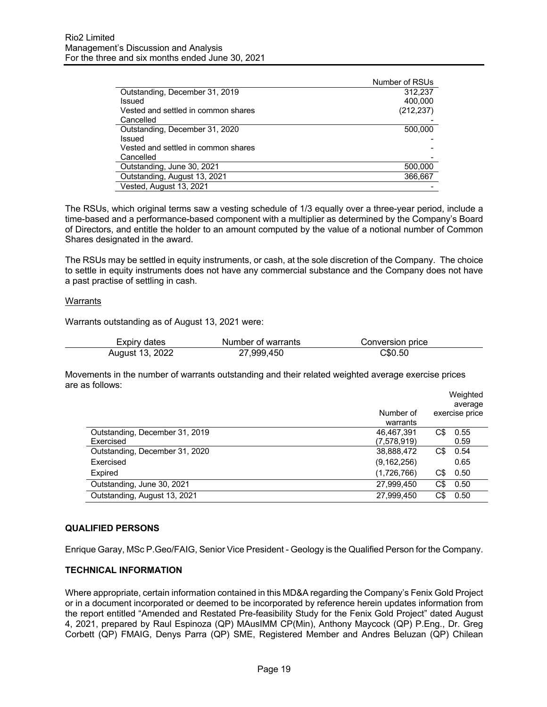|                                     | Number of RSUs |
|-------------------------------------|----------------|
| Outstanding, December 31, 2019      | 312.237        |
| Issued                              | 400,000        |
| Vested and settled in common shares | (212, 237)     |
| Cancelled                           |                |
| Outstanding, December 31, 2020      | 500,000        |
| Issued                              |                |
| Vested and settled in common shares |                |
| Cancelled                           |                |
| Outstanding, June 30, 2021          | 500,000        |
| Outstanding, August 13, 2021        | 366,667        |
| Vested, August 13, 2021             |                |

The RSUs, which original terms saw a vesting schedule of 1/3 equally over a three-year period, include a time-based and a performance-based component with a multiplier as determined by the Company's Board of Directors, and entitle the holder to an amount computed by the value of a notional number of Common Shares designated in the award.

The RSUs may be settled in equity instruments, or cash, at the sole discretion of the Company. The choice to settle in equity instruments does not have any commercial substance and the Company does not have a past practise of settling in cash.

## Warrants

Warrants outstanding as of August 13, 2021 were:

| Expiry dates    | Number of warrants | Conversion price |
|-----------------|--------------------|------------------|
| August 13, 2022 | 27,999,450         | C\$0.50          |

Movements in the number of warrants outstanding and their related weighted average exercise prices are as follows:

|                                |               |     | Weighted<br>average |
|--------------------------------|---------------|-----|---------------------|
|                                | Number of     |     | exercise price      |
|                                | warrants      |     |                     |
| Outstanding, December 31, 2019 | 46,467,391    | C\$ | 0.55                |
| Exercised                      | (7,578,919)   |     | 0.59                |
| Outstanding, December 31, 2020 | 38,888,472    | C\$ | 0.54                |
| Exercised                      | (9, 162, 256) |     | 0.65                |
| Expired                        | (1,726,766)   | C\$ | 0.50                |
| Outstanding, June 30, 2021     | 27,999,450    | C\$ | 0.50                |
| Outstanding, August 13, 2021   | 27,999,450    | C\$ | 0.50                |

## **QUALIFIED PERSONS**

Enrique Garay, MSc P.Geo/FAIG, Senior Vice President - Geology is the Qualified Person for the Company.

## **TECHNICAL INFORMATION**

Where appropriate, certain information contained in this MD&A regarding the Company's Fenix Gold Project or in a document incorporated or deemed to be incorporated by reference herein updates information from the report entitled "Amended and Restated Pre-feasibility Study for the Fenix Gold Project" dated August 4, 2021, prepared by Raul Espinoza (QP) MAusIMM CP(Min), Anthony Maycock (QP) P.Eng., Dr. Greg Corbett (QP) FMAIG, Denys Parra (QP) SME, Registered Member and Andres Beluzan (QP) Chilean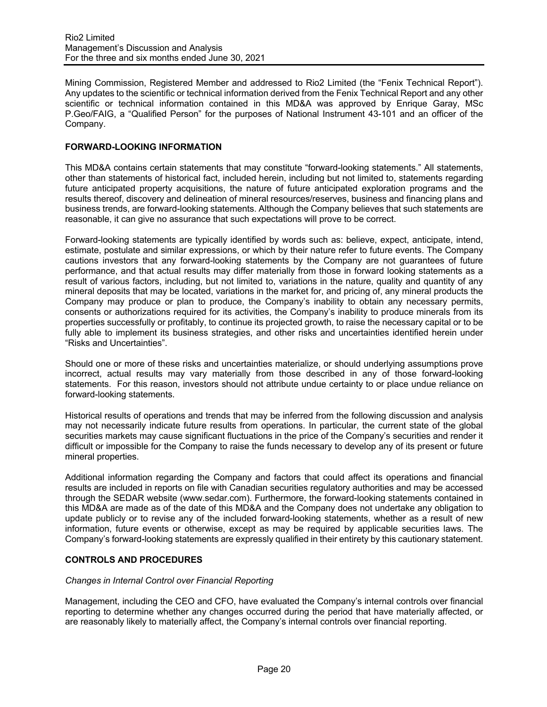Mining Commission, Registered Member and addressed to Rio2 Limited (the "Fenix Technical Report"). Any updates to the scientific or technical information derived from the Fenix Technical Report and any other scientific or technical information contained in this MD&A was approved by Enrique Garay, MSc P.Geo/FAIG, a "Qualified Person" for the purposes of National Instrument 43-101 and an officer of the Company.

# **FORWARD-LOOKING INFORMATION**

This MD&A contains certain statements that may constitute "forward-looking statements." All statements, other than statements of historical fact, included herein, including but not limited to, statements regarding future anticipated property acquisitions, the nature of future anticipated exploration programs and the results thereof, discovery and delineation of mineral resources/reserves, business and financing plans and business trends, are forward-looking statements. Although the Company believes that such statements are reasonable, it can give no assurance that such expectations will prove to be correct.

Forward-looking statements are typically identified by words such as: believe, expect, anticipate, intend, estimate, postulate and similar expressions, or which by their nature refer to future events. The Company cautions investors that any forward-looking statements by the Company are not guarantees of future performance, and that actual results may differ materially from those in forward looking statements as a result of various factors, including, but not limited to, variations in the nature, quality and quantity of any mineral deposits that may be located, variations in the market for, and pricing of, any mineral products the Company may produce or plan to produce, the Company's inability to obtain any necessary permits, consents or authorizations required for its activities, the Company's inability to produce minerals from its properties successfully or profitably, to continue its projected growth, to raise the necessary capital or to be fully able to implement its business strategies, and other risks and uncertainties identified herein under "Risks and Uncertainties".

Should one or more of these risks and uncertainties materialize, or should underlying assumptions prove incorrect, actual results may vary materially from those described in any of those forward-looking statements. For this reason, investors should not attribute undue certainty to or place undue reliance on forward-looking statements.

Historical results of operations and trends that may be inferred from the following discussion and analysis may not necessarily indicate future results from operations. In particular, the current state of the global securities markets may cause significant fluctuations in the price of the Company's securities and render it difficult or impossible for the Company to raise the funds necessary to develop any of its present or future mineral properties.

Additional information regarding the Company and factors that could affect its operations and financial results are included in reports on file with Canadian securities regulatory authorities and may be accessed through the SEDAR website (www.sedar.com). Furthermore, the forward-looking statements contained in this MD&A are made as of the date of this MD&A and the Company does not undertake any obligation to update publicly or to revise any of the included forward-looking statements, whether as a result of new information, future events or otherwise, except as may be required by applicable securities laws. The Company's forward-looking statements are expressly qualified in their entirety by this cautionary statement.

# **CONTROLS AND PROCEDURES**

## *Changes in Internal Control over Financial Reporting*

Management, including the CEO and CFO, have evaluated the Company's internal controls over financial reporting to determine whether any changes occurred during the period that have materially affected, or are reasonably likely to materially affect, the Company's internal controls over financial reporting.